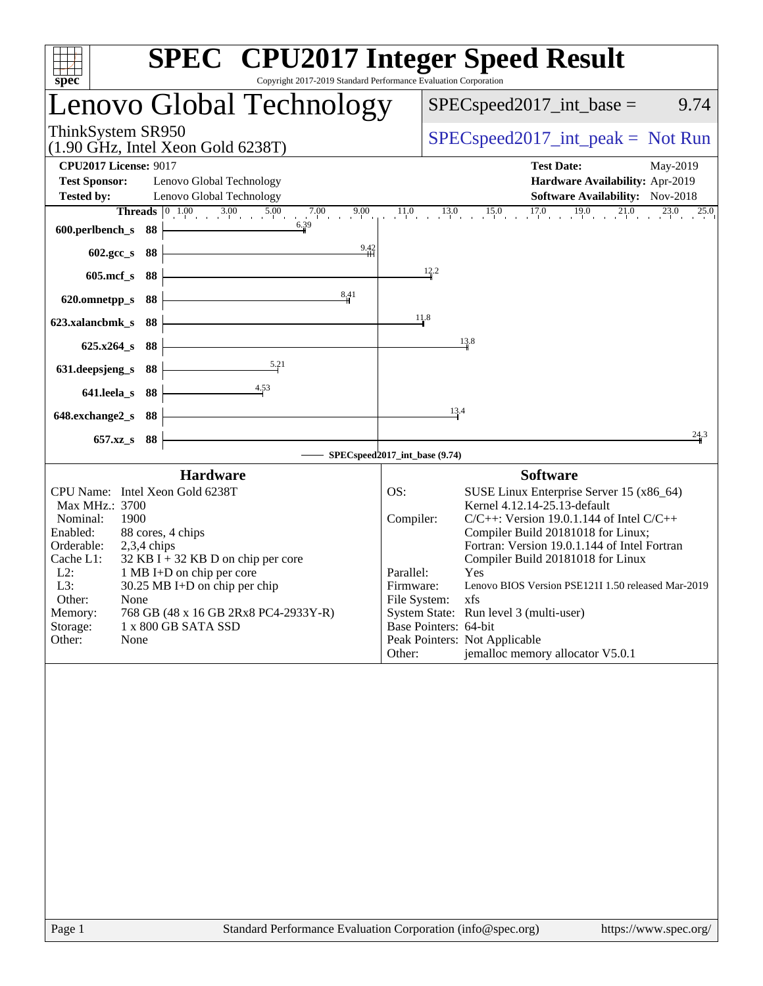| spec <sup>®</sup><br>Copyright 2017-2019 Standard Performance Evaluation Corporation                                                                                                                                                                                                                                                                                                                | <b>SPEC<sup>®</sup></b> CPU2017 Integer Speed Result                                                                                                                                                                                                                                                                                                                                                                                                                                                                                     |
|-----------------------------------------------------------------------------------------------------------------------------------------------------------------------------------------------------------------------------------------------------------------------------------------------------------------------------------------------------------------------------------------------------|------------------------------------------------------------------------------------------------------------------------------------------------------------------------------------------------------------------------------------------------------------------------------------------------------------------------------------------------------------------------------------------------------------------------------------------------------------------------------------------------------------------------------------------|
| Lenovo Global Technology                                                                                                                                                                                                                                                                                                                                                                            | $SPEC speed2017\_int\_base =$<br>9.74                                                                                                                                                                                                                                                                                                                                                                                                                                                                                                    |
| ThinkSystem SR950<br>$(1.90 \text{ GHz}, \text{Intel Xeon Gold } 6238 \text{T})$                                                                                                                                                                                                                                                                                                                    | $SPEC speed2017\_int\_peak = Not Run$                                                                                                                                                                                                                                                                                                                                                                                                                                                                                                    |
| <b>CPU2017 License: 9017</b><br><b>Test Sponsor:</b><br>Lenovo Global Technology<br><b>Tested by:</b><br>Lenovo Global Technology<br>9.00                                                                                                                                                                                                                                                           | <b>Test Date:</b><br>May-2019<br>Hardware Availability: Apr-2019<br>Software Availability: Nov-2018<br>$17.0$ $19.0$ $21.0$<br>11.0<br>$\frac{13.0}{1}$ $\frac{15.0}{1}$<br>$\frac{23.0}{1}$                                                                                                                                                                                                                                                                                                                                             |
| <b>Threads</b> $\begin{bmatrix} 0 & 1.00 & 3.00 & 5.00 & 7.00 & 9.00 \end{bmatrix}$<br>6.39<br>600.perlbench_s<br>-88                                                                                                                                                                                                                                                                               | 25.0                                                                                                                                                                                                                                                                                                                                                                                                                                                                                                                                     |
| $\frac{9.42}{1}$<br>602.gcc_s<br>- 88                                                                                                                                                                                                                                                                                                                                                               | 12.2                                                                                                                                                                                                                                                                                                                                                                                                                                                                                                                                     |
| $605$ .mcf $_s$<br>88<br>8,41<br>620.omnetpp_s<br>88                                                                                                                                                                                                                                                                                                                                                |                                                                                                                                                                                                                                                                                                                                                                                                                                                                                                                                          |
| 623.xalancbmk_s<br>88                                                                                                                                                                                                                                                                                                                                                                               | 11.8                                                                                                                                                                                                                                                                                                                                                                                                                                                                                                                                     |
| 88<br>$625.x264_s$                                                                                                                                                                                                                                                                                                                                                                                  | 13.8                                                                                                                                                                                                                                                                                                                                                                                                                                                                                                                                     |
| 5.21<br>88<br>631.deepsjeng_s                                                                                                                                                                                                                                                                                                                                                                       |                                                                                                                                                                                                                                                                                                                                                                                                                                                                                                                                          |
| 4.53<br>641.leela_s<br>88                                                                                                                                                                                                                                                                                                                                                                           |                                                                                                                                                                                                                                                                                                                                                                                                                                                                                                                                          |
| 648.exchange2_s<br>88                                                                                                                                                                                                                                                                                                                                                                               | 13.4                                                                                                                                                                                                                                                                                                                                                                                                                                                                                                                                     |
| - 88<br>$657.xz$ <sub>S</sub>                                                                                                                                                                                                                                                                                                                                                                       | 24.3<br>SPECspeed2017_int_base (9.74)                                                                                                                                                                                                                                                                                                                                                                                                                                                                                                    |
| <b>Hardware</b>                                                                                                                                                                                                                                                                                                                                                                                     | <b>Software</b>                                                                                                                                                                                                                                                                                                                                                                                                                                                                                                                          |
| CPU Name: Intel Xeon Gold 6238T<br>Max MHz.: 3700<br>1900<br>Nominal:<br>Enabled:<br>88 cores, 4 chips<br>Orderable:<br>$2,3,4$ chips<br>$32$ KB I + 32 KB D on chip per core<br>Cache L1:<br>$L2$ :<br>1 MB I+D on chip per core<br>L3:<br>30.25 MB I+D on chip per chip<br>Other:<br>None<br>768 GB (48 x 16 GB 2Rx8 PC4-2933Y-R)<br>Memory:<br>Storage:<br>1 x 800 GB SATA SSD<br>Other:<br>None | OS:<br>SUSE Linux Enterprise Server 15 (x86_64)<br>Kernel 4.12.14-25.13-default<br>Compiler:<br>$C/C++$ : Version 19.0.1.144 of Intel $C/C++$<br>Compiler Build 20181018 for Linux;<br>Fortran: Version 19.0.1.144 of Intel Fortran<br>Compiler Build 20181018 for Linux<br>Parallel:<br>Yes<br>Lenovo BIOS Version PSE121I 1.50 released Mar-2019<br>Firmware:<br>File System:<br>xfs<br>System State: Run level 3 (multi-user)<br>Base Pointers: 64-bit<br>Peak Pointers: Not Applicable<br>jemalloc memory allocator V5.0.1<br>Other: |
|                                                                                                                                                                                                                                                                                                                                                                                                     |                                                                                                                                                                                                                                                                                                                                                                                                                                                                                                                                          |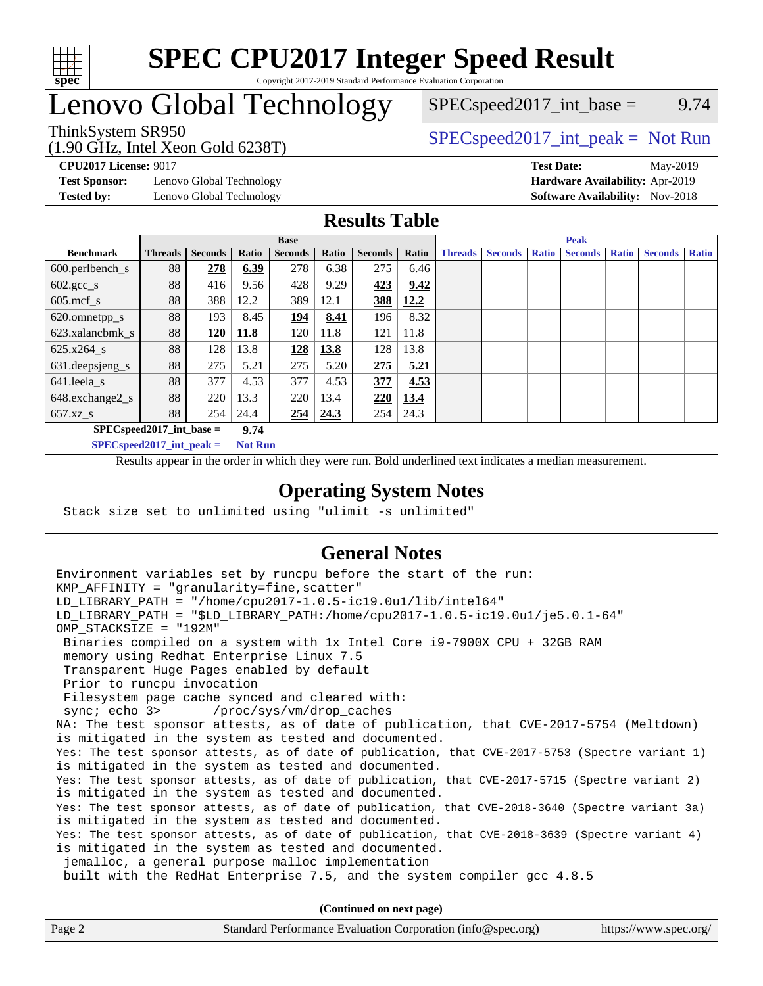

#### **[SPEC CPU2017 Integer Speed Result](http://www.spec.org/auto/cpu2017/Docs/result-fields.html#SPECCPU2017IntegerSpeedResult)** Copyright 2017-2019 Standard Performance Evaluation Corporation

# Lenovo Global Technology

(1.90 GHz, Intel Xeon Gold 6238T)

 $SPEC speed2017\_int\_base =$  9.74

ThinkSystem SR950<br>  $(1.00 \text{ GHz. Intel Yes} \cdot \text{Cold } 6238 \text{ T})$  [SPECspeed2017\\_int\\_peak =](http://www.spec.org/auto/cpu2017/Docs/result-fields.html#SPECspeed2017intpeak) Not Run

**[Test Sponsor:](http://www.spec.org/auto/cpu2017/Docs/result-fields.html#TestSponsor)** Lenovo Global Technology **[Hardware Availability:](http://www.spec.org/auto/cpu2017/Docs/result-fields.html#HardwareAvailability)** Apr-2019

**[CPU2017 License:](http://www.spec.org/auto/cpu2017/Docs/result-fields.html#CPU2017License)** 9017 **[Test Date:](http://www.spec.org/auto/cpu2017/Docs/result-fields.html#TestDate)** May-2019 **[Tested by:](http://www.spec.org/auto/cpu2017/Docs/result-fields.html#Testedby)** Lenovo Global Technology **[Software Availability:](http://www.spec.org/auto/cpu2017/Docs/result-fields.html#SoftwareAvailability)** Nov-2018

#### **[Results Table](http://www.spec.org/auto/cpu2017/Docs/result-fields.html#ResultsTable)**

|                            |                |                |       | <b>Base</b>    |       |                |       | <b>Peak</b>    |                |              |                |              |                |              |  |  |  |
|----------------------------|----------------|----------------|-------|----------------|-------|----------------|-------|----------------|----------------|--------------|----------------|--------------|----------------|--------------|--|--|--|
| <b>Benchmark</b>           | <b>Threads</b> | <b>Seconds</b> | Ratio | <b>Seconds</b> | Ratio | <b>Seconds</b> | Ratio | <b>Threads</b> | <b>Seconds</b> | <b>Ratio</b> | <b>Seconds</b> | <b>Ratio</b> | <b>Seconds</b> | <b>Ratio</b> |  |  |  |
| $600.$ perlbench_s         | 88             | 278            | 6.39  | 278            | 6.38  | 275            | 6.46  |                |                |              |                |              |                |              |  |  |  |
| $602.\text{gcc}\_\text{s}$ | 88             | 416            | 9.56  | 428            | 9.29  | 423            | 9.42  |                |                |              |                |              |                |              |  |  |  |
| $605$ .mcf s               | 88             | 388            | 12.2  | 389            | 12.1  | 388            | 12.2  |                |                |              |                |              |                |              |  |  |  |
| 620.omnetpp_s              | 88             | 193            | 8.45  | <u> 194</u>    | 8.41  | 196            | 8.32  |                |                |              |                |              |                |              |  |  |  |
| 623.xalancbmk s            | 88             | 120            | 11.8  | 120            | 11.8  | 121            | 11.8  |                |                |              |                |              |                |              |  |  |  |
| 625.x264 s                 | 88             | 128            | 13.8  | 128            | 13.8  | 128            | 13.8  |                |                |              |                |              |                |              |  |  |  |
| 631.deepsjeng_s            | 88             | 275            | 5.21  | 275            | 5.20  | 275            | 5.21  |                |                |              |                |              |                |              |  |  |  |
| 641.leela s                | 88             | 377            | 4.53  | 377            | 4.53  | 377            | 4.53  |                |                |              |                |              |                |              |  |  |  |
| 648.exchange2_s            | 88             | 220            | 13.3  | 220            | 13.4  | 220            | 13.4  |                |                |              |                |              |                |              |  |  |  |
| $657.xz$ s                 | 88             | 254            | 24.4  | 254            | 24.3  | 254            | 24.3  |                |                |              |                |              |                |              |  |  |  |
| $SPECspeed2017$ int base = |                |                | 9.74  |                |       |                |       |                |                |              |                |              |                |              |  |  |  |

**[SPECspeed2017\\_int\\_peak =](http://www.spec.org/auto/cpu2017/Docs/result-fields.html#SPECspeed2017intpeak) Not Run**

Results appear in the [order in which they were run.](http://www.spec.org/auto/cpu2017/Docs/result-fields.html#RunOrder) Bold underlined text [indicates a median measurement.](http://www.spec.org/auto/cpu2017/Docs/result-fields.html#Median)

#### **[Operating System Notes](http://www.spec.org/auto/cpu2017/Docs/result-fields.html#OperatingSystemNotes)**

Stack size set to unlimited using "ulimit -s unlimited"

### **[General Notes](http://www.spec.org/auto/cpu2017/Docs/result-fields.html#GeneralNotes)**

Environment variables set by runcpu before the start of the run: KMP AFFINITY = "granularity=fine, scatter" LD\_LIBRARY\_PATH = "/home/cpu2017-1.0.5-ic19.0u1/lib/intel64" LD\_LIBRARY\_PATH = "\$LD\_LIBRARY\_PATH:/home/cpu2017-1.0.5-ic19.0u1/je5.0.1-64" OMP\_STACKSIZE = "192M" Binaries compiled on a system with 1x Intel Core i9-7900X CPU + 32GB RAM memory using Redhat Enterprise Linux 7.5 Transparent Huge Pages enabled by default Prior to runcpu invocation Filesystem page cache synced and cleared with: sync; echo 3> /proc/sys/vm/drop\_caches NA: The test sponsor attests, as of date of publication, that CVE-2017-5754 (Meltdown) is mitigated in the system as tested and documented. Yes: The test sponsor attests, as of date of publication, that CVE-2017-5753 (Spectre variant 1) is mitigated in the system as tested and documented. Yes: The test sponsor attests, as of date of publication, that CVE-2017-5715 (Spectre variant 2) is mitigated in the system as tested and documented. Yes: The test sponsor attests, as of date of publication, that CVE-2018-3640 (Spectre variant 3a) is mitigated in the system as tested and documented. Yes: The test sponsor attests, as of date of publication, that CVE-2018-3639 (Spectre variant 4) is mitigated in the system as tested and documented. jemalloc, a general purpose malloc implementation built with the RedHat Enterprise 7.5, and the system compiler gcc 4.8.5 **(Continued on next page)**

| Page 2 | Standard Performance Evaluation Corporation (info@spec.org) | https://www.spec.org/ $\vert$ |
|--------|-------------------------------------------------------------|-------------------------------|
|--------|-------------------------------------------------------------|-------------------------------|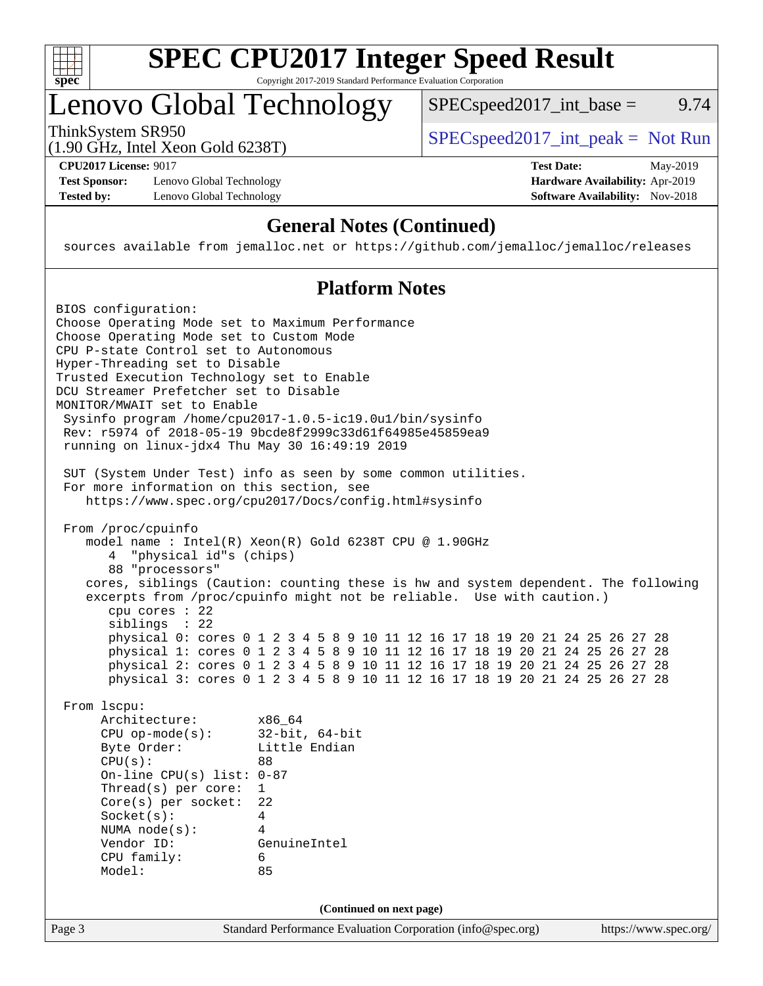

# **[SPEC CPU2017 Integer Speed Result](http://www.spec.org/auto/cpu2017/Docs/result-fields.html#SPECCPU2017IntegerSpeedResult)**

Copyright 2017-2019 Standard Performance Evaluation Corporation

# Lenovo Global Technology

ThinkSystem SR950<br>(1.00 GHz, Intel Year Gald 6238T) [SPECspeed2017\\_int\\_peak =](http://www.spec.org/auto/cpu2017/Docs/result-fields.html#SPECspeed2017intpeak) Not Run

 $SPEC speed2017\_int\_base =$  9.74

(1.90 GHz, Intel Xeon Gold 6238T)

**[Test Sponsor:](http://www.spec.org/auto/cpu2017/Docs/result-fields.html#TestSponsor)** Lenovo Global Technology **[Hardware Availability:](http://www.spec.org/auto/cpu2017/Docs/result-fields.html#HardwareAvailability)** Apr-2019 **[Tested by:](http://www.spec.org/auto/cpu2017/Docs/result-fields.html#Testedby)** Lenovo Global Technology **[Software Availability:](http://www.spec.org/auto/cpu2017/Docs/result-fields.html#SoftwareAvailability)** Nov-2018

**[CPU2017 License:](http://www.spec.org/auto/cpu2017/Docs/result-fields.html#CPU2017License)** 9017 **[Test Date:](http://www.spec.org/auto/cpu2017/Docs/result-fields.html#TestDate)** May-2019

### **[General Notes \(Continued\)](http://www.spec.org/auto/cpu2017/Docs/result-fields.html#GeneralNotes)**

sources available from jemalloc.net or <https://github.com/jemalloc/jemalloc/releases>

### **[Platform Notes](http://www.spec.org/auto/cpu2017/Docs/result-fields.html#PlatformNotes)**

| BIOS configuration:                              |                                                                                      |
|--------------------------------------------------|--------------------------------------------------------------------------------------|
| Choose Operating Mode set to Maximum Performance |                                                                                      |
| Choose Operating Mode set to Custom Mode         |                                                                                      |
| CPU P-state Control set to Autonomous            |                                                                                      |
| Hyper-Threading set to Disable                   |                                                                                      |
| Trusted Execution Technology set to Enable       |                                                                                      |
| DCU Streamer Prefetcher set to Disable           |                                                                                      |
| MONITOR/MWAIT set to Enable                      |                                                                                      |
|                                                  | Sysinfo program /home/cpu2017-1.0.5-ic19.0ul/bin/sysinfo                             |
|                                                  | Rev: r5974 of 2018-05-19 9bcde8f2999c33d61f64985e45859ea9                            |
| running on linux-jdx4 Thu May 30 16:49:19 2019   |                                                                                      |
|                                                  | SUT (System Under Test) info as seen by some common utilities.                       |
| For more information on this section, see        |                                                                                      |
|                                                  | https://www.spec.org/cpu2017/Docs/config.html#sysinfo                                |
| From /proc/cpuinfo                               |                                                                                      |
|                                                  | model name: $Intel(R)$ Xeon $(R)$ Gold 6238T CPU @ 1.90GHz                           |
| 4 "physical id"s (chips)                         |                                                                                      |
| 88 "processors"                                  |                                                                                      |
|                                                  | cores, siblings (Caution: counting these is hw and system dependent. The following   |
|                                                  | excerpts from /proc/cpuinfo might not be reliable. Use with caution.)                |
| cpu cores $: 22$                                 |                                                                                      |
| siblings : 22                                    |                                                                                      |
|                                                  | physical 0: cores 0 1 2 3 4 5 8 9 10 11 12 16 17 18 19 20 21 24 25 26 27 28          |
|                                                  | physical 1: cores 0 1 2 3 4 5 8 9 10 11 12 16 17 18 19 20 21 24 25 26 27 28          |
|                                                  | physical 2: cores 0 1 2 3 4 5 8 9 10 11 12 16 17 18 19 20 21 24 25 26 27 28          |
|                                                  | physical 3: cores 0 1 2 3 4 5 8 9 10 11 12 16 17 18 19 20 21 24 25 26 27 28          |
| From 1scpu:                                      |                                                                                      |
| Architecture:                                    | x86 64                                                                               |
| $CPU$ op-mode( $s$ ):                            | $32$ -bit, $64$ -bit                                                                 |
| Byte Order:                                      | Little Endian                                                                        |
| CPU(s):                                          | 88                                                                                   |
| On-line CPU(s) list: $0-87$                      |                                                                                      |
| Thread( $s$ ) per core:                          | $\mathbf{1}$                                                                         |
| $Core(s)$ per socket:                            | 22                                                                                   |
| Socket(s):                                       | 4<br>4                                                                               |
| NUMA $node(s):$<br>Vendor ID:                    | GenuineIntel                                                                         |
| CPU family:                                      | 6                                                                                    |
| Model:                                           | 85                                                                                   |
|                                                  |                                                                                      |
|                                                  | (Continued on next page)                                                             |
| Page 3                                           | Standard Performance Evaluation Corporation (info@spec.org)<br>https://www.spec.org/ |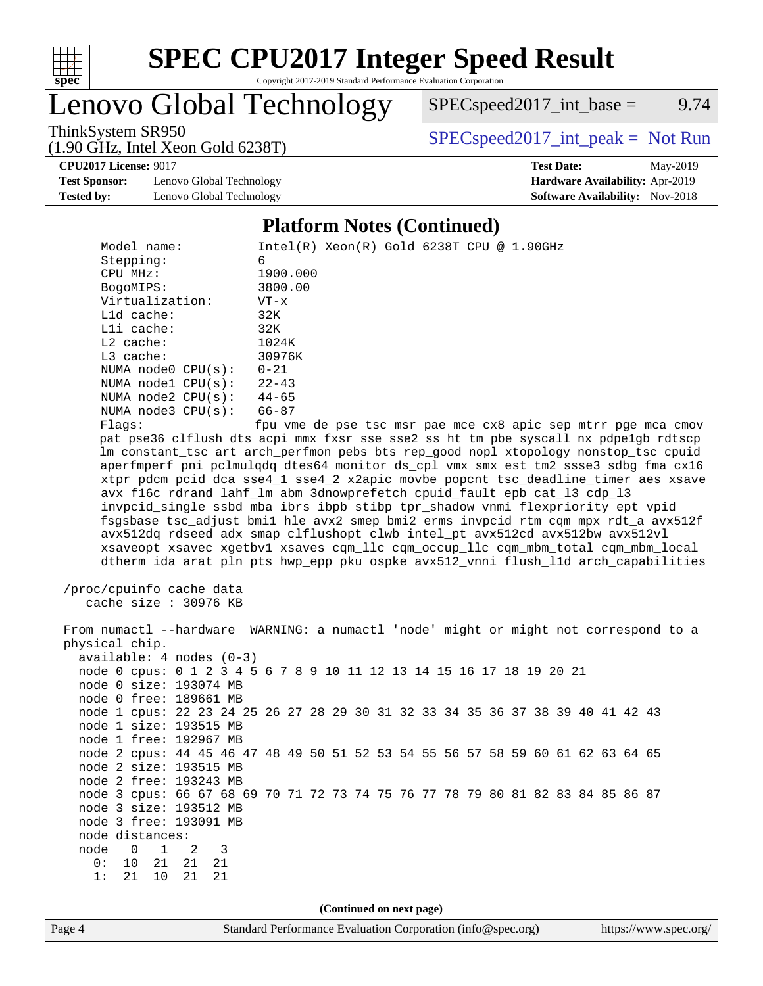

# **[SPEC CPU2017 Integer Speed Result](http://www.spec.org/auto/cpu2017/Docs/result-fields.html#SPECCPU2017IntegerSpeedResult)**

Copyright 2017-2019 Standard Performance Evaluation Corporation

Lenovo Global Technology

 $SPECspeed2017\_int\_base =$  9.74

(1.90 GHz, Intel Xeon Gold 6238T)

ThinkSystem SR950<br>(1.00 GHz, Intel Year Gald 6238T) [SPECspeed2017\\_int\\_peak =](http://www.spec.org/auto/cpu2017/Docs/result-fields.html#SPECspeed2017intpeak) Not Run

**[CPU2017 License:](http://www.spec.org/auto/cpu2017/Docs/result-fields.html#CPU2017License)** 9017 **[Test Date:](http://www.spec.org/auto/cpu2017/Docs/result-fields.html#TestDate)** May-2019

**[Test Sponsor:](http://www.spec.org/auto/cpu2017/Docs/result-fields.html#TestSponsor)** Lenovo Global Technology **[Hardware Availability:](http://www.spec.org/auto/cpu2017/Docs/result-fields.html#HardwareAvailability)** Apr-2019 **[Tested by:](http://www.spec.org/auto/cpu2017/Docs/result-fields.html#Testedby)** Lenovo Global Technology **[Software Availability:](http://www.spec.org/auto/cpu2017/Docs/result-fields.html#SoftwareAvailability)** Nov-2018

#### **[Platform Notes \(Continued\)](http://www.spec.org/auto/cpu2017/Docs/result-fields.html#PlatformNotes)**

| Model name:<br>Stepping:                                                                                                                                                                  | $Intel(R) Xeon(R) Gold 6238T CPU @ 1.90GHz$<br>6            |                          |  |  |  |  |  |  |                                                               |
|-------------------------------------------------------------------------------------------------------------------------------------------------------------------------------------------|-------------------------------------------------------------|--------------------------|--|--|--|--|--|--|---------------------------------------------------------------|
| CPU MHz:                                                                                                                                                                                  | 1900.000                                                    |                          |  |  |  |  |  |  |                                                               |
| BogoMIPS:                                                                                                                                                                                 | 3800.00                                                     |                          |  |  |  |  |  |  |                                                               |
| Virtualization:                                                                                                                                                                           | $VT - x$                                                    |                          |  |  |  |  |  |  |                                                               |
| Lld cache:                                                                                                                                                                                | 32K                                                         |                          |  |  |  |  |  |  |                                                               |
| Lli cache:                                                                                                                                                                                | 32K                                                         |                          |  |  |  |  |  |  |                                                               |
| L2 cache:                                                                                                                                                                                 | 1024K                                                       |                          |  |  |  |  |  |  |                                                               |
| L3 cache:                                                                                                                                                                                 | 30976K                                                      |                          |  |  |  |  |  |  |                                                               |
| NUMA node0 CPU(s):                                                                                                                                                                        | $0 - 21$                                                    |                          |  |  |  |  |  |  |                                                               |
| NUMA nodel CPU(s):                                                                                                                                                                        | $22 - 43$                                                   |                          |  |  |  |  |  |  |                                                               |
| NUMA node2 $CPU(s):$ 44-65                                                                                                                                                                |                                                             |                          |  |  |  |  |  |  |                                                               |
| NUMA $node3$ $CPU(s):$                                                                                                                                                                    | 66-87                                                       |                          |  |  |  |  |  |  |                                                               |
| Flags:                                                                                                                                                                                    |                                                             |                          |  |  |  |  |  |  | fpu vme de pse tsc msr pae mce cx8 apic sep mtrr pge mca cmov |
| pat pse36 clflush dts acpi mmx fxsr sse sse2 ss ht tm pbe syscall nx pdpelgb rdtscp                                                                                                       |                                                             |                          |  |  |  |  |  |  |                                                               |
| lm constant_tsc art arch_perfmon pebs bts rep_good nopl xtopology nonstop_tsc cpuid                                                                                                       |                                                             |                          |  |  |  |  |  |  |                                                               |
| aperfmperf pni pclmulqdq dtes64 monitor ds_cpl vmx smx est tm2 ssse3 sdbg fma cx16                                                                                                        |                                                             |                          |  |  |  |  |  |  |                                                               |
| xtpr pdcm pcid dca sse4_1 sse4_2 x2apic movbe popcnt tsc_deadline_timer aes xsave                                                                                                         |                                                             |                          |  |  |  |  |  |  |                                                               |
| avx f16c rdrand lahf_lm abm 3dnowprefetch cpuid_fault epb cat_13 cdp_13                                                                                                                   |                                                             |                          |  |  |  |  |  |  |                                                               |
| invpcid_single ssbd mba ibrs ibpb stibp tpr_shadow vnmi flexpriority ept vpid                                                                                                             |                                                             |                          |  |  |  |  |  |  |                                                               |
| fsgsbase tsc_adjust bmil hle avx2 smep bmi2 erms invpcid rtm cqm mpx rdt_a avx512f                                                                                                        |                                                             |                          |  |  |  |  |  |  |                                                               |
| avx512dq rdseed adx smap clflushopt clwb intel_pt avx512cd avx512bw avx512vl                                                                                                              |                                                             |                          |  |  |  |  |  |  |                                                               |
| xsaveopt xsavec xgetbvl xsaves cqm_llc cqm_occup_llc cqm_mbm_total cqm_mbm_local                                                                                                          |                                                             |                          |  |  |  |  |  |  |                                                               |
| dtherm ida arat pln pts hwp_epp pku ospke avx512_vnni flush_lld arch_capabilities                                                                                                         |                                                             |                          |  |  |  |  |  |  |                                                               |
| /proc/cpuinfo cache data<br>cache size : 30976 KB<br>From numactl --hardware WARNING: a numactl 'node' might or might not correspond to a<br>physical chip.<br>$available: 4 nodes (0-3)$ |                                                             |                          |  |  |  |  |  |  |                                                               |
|                                                                                                                                                                                           |                                                             |                          |  |  |  |  |  |  |                                                               |
| node 0 cpus: 0 1 2 3 4 5 6 7 8 9 10 11 12 13 14 15 16 17 18 19 20 21                                                                                                                      |                                                             |                          |  |  |  |  |  |  |                                                               |
| node 0 size: 193074 MB<br>node 0 free: 189661 MB                                                                                                                                          |                                                             |                          |  |  |  |  |  |  |                                                               |
| node 1 cpus: 22 23 24 25 26 27 28 29 30 31 32 33 34 35 36 37 38 39 40 41 42 43                                                                                                            |                                                             |                          |  |  |  |  |  |  |                                                               |
| node 1 size: 193515 MB                                                                                                                                                                    |                                                             |                          |  |  |  |  |  |  |                                                               |
| node 1 free: 192967 MB                                                                                                                                                                    |                                                             |                          |  |  |  |  |  |  |                                                               |
| node 2 cpus: 44 45 46 47 48 49 50 51 52 53 54 55 56 57 58 59 60 61 62 63 64 65                                                                                                            |                                                             |                          |  |  |  |  |  |  |                                                               |
| node 2 size: 193515 MB                                                                                                                                                                    |                                                             |                          |  |  |  |  |  |  |                                                               |
| node 2 free: 193243 MB                                                                                                                                                                    |                                                             |                          |  |  |  |  |  |  |                                                               |
| node 3 cpus: 66 67 68 69 70 71 72 73 74 75 76 77 78 79 80 81 82 83 84 85 86 87                                                                                                            |                                                             |                          |  |  |  |  |  |  |                                                               |
| node 3 size: 193512 MB                                                                                                                                                                    |                                                             |                          |  |  |  |  |  |  |                                                               |
| node 3 free: 193091 MB                                                                                                                                                                    |                                                             |                          |  |  |  |  |  |  |                                                               |
| node distances:                                                                                                                                                                           |                                                             |                          |  |  |  |  |  |  |                                                               |
| node<br>0<br>1<br>2<br>3                                                                                                                                                                  |                                                             |                          |  |  |  |  |  |  |                                                               |
| 0:<br>10<br>21<br>21<br>21                                                                                                                                                                |                                                             |                          |  |  |  |  |  |  |                                                               |
| 10<br>21<br>1:<br>21<br>21                                                                                                                                                                |                                                             |                          |  |  |  |  |  |  |                                                               |
|                                                                                                                                                                                           |                                                             |                          |  |  |  |  |  |  |                                                               |
|                                                                                                                                                                                           |                                                             | (Continued on next page) |  |  |  |  |  |  |                                                               |
| Page 4                                                                                                                                                                                    | Standard Performance Evaluation Corporation (info@spec.org) |                          |  |  |  |  |  |  | https://www.spec.org/                                         |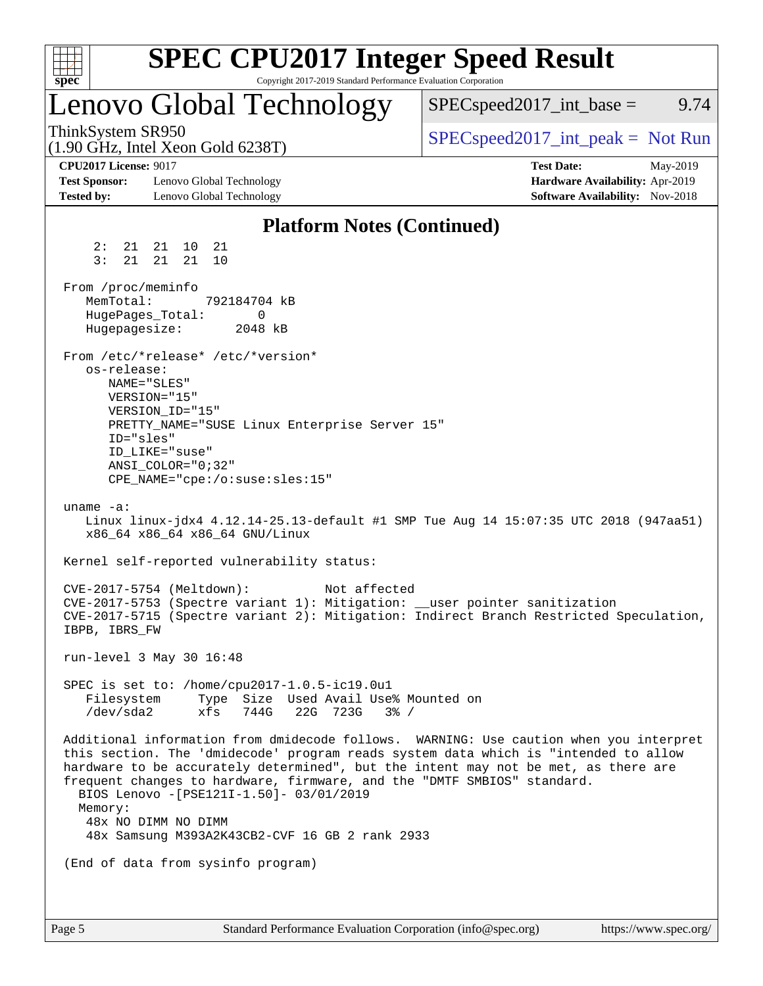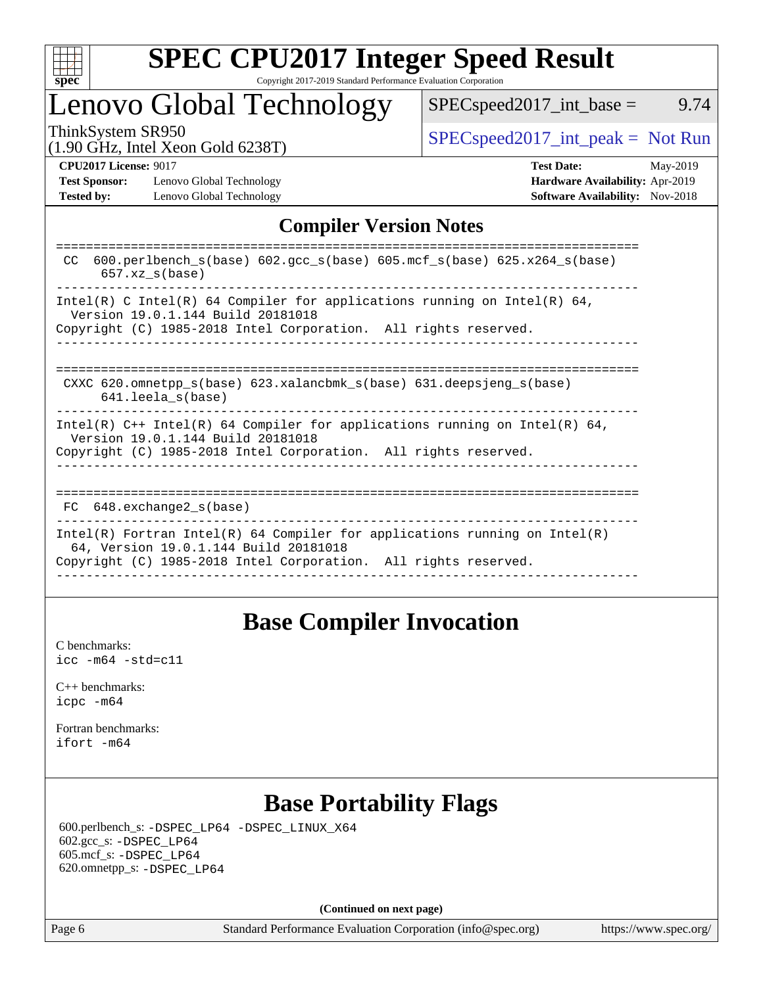

#### **[SPEC CPU2017 Integer Speed Result](http://www.spec.org/auto/cpu2017/Docs/result-fields.html#SPECCPU2017IntegerSpeedResult)** Copyright 2017-2019 Standard Performance Evaluation Corporation

# Lenovo Global Technology

 $SPEC speed2017\_int\_base =$  9.74

(1.90 GHz, Intel Xeon Gold 6238T)

ThinkSystem SR950<br>(1.00 GHz, Intel Year Gald 6238T) [SPECspeed2017\\_int\\_peak =](http://www.spec.org/auto/cpu2017/Docs/result-fields.html#SPECspeed2017intpeak) Not Run

**[Test Sponsor:](http://www.spec.org/auto/cpu2017/Docs/result-fields.html#TestSponsor)** Lenovo Global Technology **[Hardware Availability:](http://www.spec.org/auto/cpu2017/Docs/result-fields.html#HardwareAvailability)** Apr-2019 **[Tested by:](http://www.spec.org/auto/cpu2017/Docs/result-fields.html#Testedby)** Lenovo Global Technology **[Software Availability:](http://www.spec.org/auto/cpu2017/Docs/result-fields.html#SoftwareAvailability)** Nov-2018

**[CPU2017 License:](http://www.spec.org/auto/cpu2017/Docs/result-fields.html#CPU2017License)** 9017 **[Test Date:](http://www.spec.org/auto/cpu2017/Docs/result-fields.html#TestDate)** May-2019

### **[Compiler Version Notes](http://www.spec.org/auto/cpu2017/Docs/result-fields.html#CompilerVersionNotes)**

| 600.perlbench $s(base)$ 602.gcc $s(base)$ 605.mcf $s(base)$ 625.x264 $s(base)$<br>CC.<br>$657$ .xz $s(base)$                                                                           |
|----------------------------------------------------------------------------------------------------------------------------------------------------------------------------------------|
| Intel(R) C Intel(R) 64 Compiler for applications running on Intel(R) 64,<br>Version 19.0.1.144 Build 20181018<br>Copyright (C) 1985-2018 Intel Corporation. All rights reserved.       |
| CXXC 620.omnetpp $s(base)$ 623.xalancbmk $s(base)$ 631.deepsjeng $s(base)$<br>$641.$ leela $s(base)$                                                                                   |
| Intel(R) $C++$ Intel(R) 64 Compiler for applications running on Intel(R) 64,<br>Version 19.0.1.144 Build 20181018<br>Copyright (C) 1985-2018 Intel Corporation. All rights reserved.   |
| $FC$ 648. exchange 2 $s$ (base)                                                                                                                                                        |
| Intel(R) Fortran Intel(R) 64 Compiler for applications running on Intel(R)<br>64, Version 19.0.1.144 Build 20181018<br>Copyright (C) 1985-2018 Intel Corporation. All rights reserved. |

## **[Base Compiler Invocation](http://www.spec.org/auto/cpu2017/Docs/result-fields.html#BaseCompilerInvocation)**

[C benchmarks](http://www.spec.org/auto/cpu2017/Docs/result-fields.html#Cbenchmarks): [icc -m64 -std=c11](http://www.spec.org/cpu2017/results/res2019q3/cpu2017-20190624-15554.flags.html#user_CCbase_intel_icc_64bit_c11_33ee0cdaae7deeeab2a9725423ba97205ce30f63b9926c2519791662299b76a0318f32ddfffdc46587804de3178b4f9328c46fa7c2b0cd779d7a61945c91cd35)

[C++ benchmarks:](http://www.spec.org/auto/cpu2017/Docs/result-fields.html#CXXbenchmarks) [icpc -m64](http://www.spec.org/cpu2017/results/res2019q3/cpu2017-20190624-15554.flags.html#user_CXXbase_intel_icpc_64bit_4ecb2543ae3f1412ef961e0650ca070fec7b7afdcd6ed48761b84423119d1bf6bdf5cad15b44d48e7256388bc77273b966e5eb805aefd121eb22e9299b2ec9d9)

[Fortran benchmarks](http://www.spec.org/auto/cpu2017/Docs/result-fields.html#Fortranbenchmarks): [ifort -m64](http://www.spec.org/cpu2017/results/res2019q3/cpu2017-20190624-15554.flags.html#user_FCbase_intel_ifort_64bit_24f2bb282fbaeffd6157abe4f878425411749daecae9a33200eee2bee2fe76f3b89351d69a8130dd5949958ce389cf37ff59a95e7a40d588e8d3a57e0c3fd751)

## **[Base Portability Flags](http://www.spec.org/auto/cpu2017/Docs/result-fields.html#BasePortabilityFlags)**

 600.perlbench\_s: [-DSPEC\\_LP64](http://www.spec.org/cpu2017/results/res2019q3/cpu2017-20190624-15554.flags.html#b600.perlbench_s_basePORTABILITY_DSPEC_LP64) [-DSPEC\\_LINUX\\_X64](http://www.spec.org/cpu2017/results/res2019q3/cpu2017-20190624-15554.flags.html#b600.perlbench_s_baseCPORTABILITY_DSPEC_LINUX_X64) 602.gcc\_s: [-DSPEC\\_LP64](http://www.spec.org/cpu2017/results/res2019q3/cpu2017-20190624-15554.flags.html#suite_basePORTABILITY602_gcc_s_DSPEC_LP64) 605.mcf\_s: [-DSPEC\\_LP64](http://www.spec.org/cpu2017/results/res2019q3/cpu2017-20190624-15554.flags.html#suite_basePORTABILITY605_mcf_s_DSPEC_LP64) 620.omnetpp\_s: [-DSPEC\\_LP64](http://www.spec.org/cpu2017/results/res2019q3/cpu2017-20190624-15554.flags.html#suite_basePORTABILITY620_omnetpp_s_DSPEC_LP64)

**(Continued on next page)**

Page 6 Standard Performance Evaluation Corporation [\(info@spec.org\)](mailto:info@spec.org) <https://www.spec.org/>